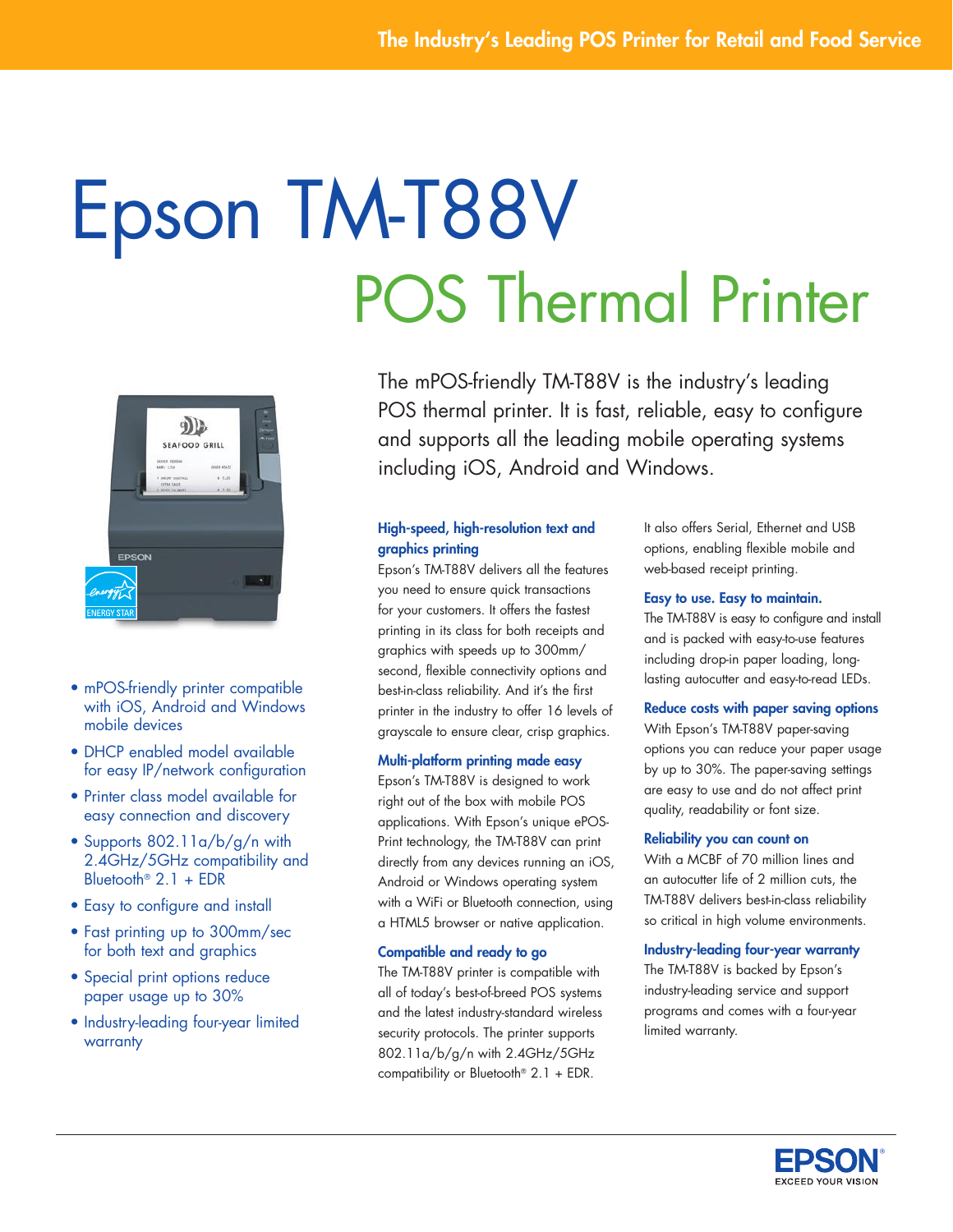# Epson TM-T88V POS Thermal Printer



- mPOS-friendly printer compatible with iOS, Android and Windows mobile devices
- DHCP enabled model available for easy IP/network configuration
- • Printer class model available for easy connection and discovery
- Supports 802.11a/b/g/n with 2.4GHz/5GHz compatibility and Bluetooth® 2.1 + EDR
- Easy to configure and install
- Fast printing up to 300mm/sec for both text and graphics
- Special print options reduce paper usage up to 30%
- Industry-leading four-year limited **warranty**

The mPOS-friendly TM-T88V is the industry's leading POS thermal printer. It is fast, reliable, easy to configure and supports all the leading mobile operating systems including iOS, Android and Windows.

# High-speed, high-resolution text and graphics printing

Epson's TM-T88V delivers all the features you need to ensure quick transactions for your customers. It offers the fastest printing in its class for both receipts and graphics with speeds up to 300mm/ second, flexible connectivity options and best-in-class reliability. And it's the first printer in the industry to offer 16 levels of grayscale to ensure clear, crisp graphics.

## Multi-platform printing made easy

Epson's TM-T88V is designed to work right out of the box with mobile POS applications. With Epson's unique ePOS-Print technology, the TM-T88V can print directly from any devices running an iOS, Android or Windows operating system with a WiFi or Bluetooth connection, using a HTML5 browser or native application.

## Compatible and ready to go

The TM-T88V printer is compatible with all of today's best-of-breed POS systems and the latest industry-standard wireless security protocols. The printer supports 802.11a/b/g/n with 2.4GHz/5GHz compatibility or Bluetooth® 2.1 + EDR.

It also offers Serial, Ethernet and USB options, enabling flexible mobile and web-based receipt printing.

## Easy to use. Easy to maintain.

The TM-T88V is easy to configure and install and is packed with easy-to-use features including drop-in paper loading, longlasting autocutter and easy-to-read LEDs.

# Reduce costs with paper saving options

With Epson's TM-T88V paper-saving options you can reduce your paper usage by up to 30%. The paper-saving settings are easy to use and do not affect print quality, readability or font size.

## Reliability you can count on

With a MCBF of 70 million lines and an autocutter life of 2 million cuts, the TM-T88V delivers best-in-class reliability so critical in high volume environments.

# Industry-leading four-year warranty

The TM-T88V is backed by Epson's industry-leading service and support programs and comes with a four-year limited warranty.